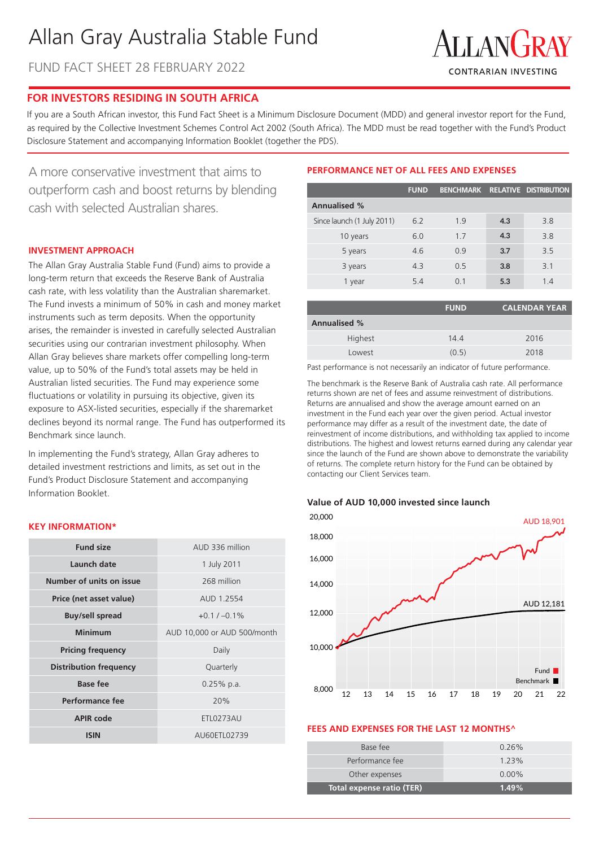# Allan Gray Australia Stable Fund

FUND FACT SHEET 28 FEBRUARY 2022



## **FOR INVESTORS RESIDING IN SOUTH AFRICA**

If you are a South African investor, this Fund Fact Sheet is a Minimum Disclosure Document (MDD) and general investor report for the Fund, as required by the Collective Investment Schemes Control Act 2002 (South Africa). The MDD must be read together with the Fund's Product Disclosure Statement and accompanying Information Booklet (together the PDS).

A more conservative investment that aims to outperform cash and boost returns by blending cash with selected Australian shares.

## **INVESTMENT APPROACH**

The Allan Gray Australia Stable Fund (Fund) aims to provide a long-term return that exceeds the Reserve Bank of Australia cash rate, with less volatility than the Australian sharemarket. The Fund invests a minimum of 50% in cash and money market instruments such as term deposits. When the opportunity arises, the remainder is invested in carefully selected Australian securities using our contrarian investment philosophy. When Allan Gray believes share markets offer compelling long-term value, up to 50% of the Fund's total assets may be held in Australian listed securities. The Fund may experience some fluctuations or volatility in pursuing its objective, given its exposure to ASX-listed securities, especially if the sharemarket declines beyond its normal range. The Fund has outperformed its Benchmark since launch.

In implementing the Fund's strategy, Allan Gray adheres to detailed investment restrictions and limits, as set out in the Fund's Product Disclosure Statement and accompanying Information Booklet.

## **KEY INFORMATION\***

| <b>Fund size</b>              | AUD 336 million             |  |  |
|-------------------------------|-----------------------------|--|--|
| Launch date                   | 1 July 2011                 |  |  |
| Number of units on issue      | 268 million                 |  |  |
| Price (net asset value)       | AUD 1.2554                  |  |  |
| <b>Buy/sell spread</b>        | $+0.1 / -0.1\%$             |  |  |
| Minimum                       | AUD 10,000 or AUD 500/month |  |  |
| <b>Pricing frequency</b>      | Daily                       |  |  |
| <b>Distribution frequency</b> | Quarterly                   |  |  |
| <b>Base fee</b>               | $0.25%$ p.a.                |  |  |
| Performance fee               | 20%                         |  |  |
| <b>APIR code</b>              | <b>ETL0273AU</b>            |  |  |
| <b>ISIN</b>                   | AU60ETL02739                |  |  |

## **PERFORMANCE NET OF ALL FEES AND EXPENSES**

|                            | <b>FUND</b> | <b>BENCHMARK</b> |     | RELATIVE DISTRIBUTION |
|----------------------------|-------------|------------------|-----|-----------------------|
| <b>Annualised %</b>        |             |                  |     |                       |
| Since launch (1 July 2011) | 6.2         | 1.9              | 4.3 | 3.8                   |
| 10 years                   | 6.0         | 1.7              | 4.3 | 3.8                   |
| 5 years                    | 4.6         | 0.9              | 3.7 | 3.5                   |
| 3 years                    | 4.3         | 0.5              | 3.8 | 3.1                   |
| 1 year                     | 5.4         | O 1              | 5.3 | 1.4                   |

|                     | <b>FUND</b> | <b>CALENDAR YEAR</b> |
|---------------------|-------------|----------------------|
| <b>Annualised %</b> |             |                      |
| Highest             | 14.4        | 2016                 |
| Lowest              | (0.5)       | 2018                 |

Past performance is not necessarily an indicator of future performance.

The benchmark is the Reserve Bank of Australia cash rate. All performance returns shown are net of fees and assume reinvestment of distributions. Returns are annualised and show the average amount earned on an investment in the Fund each year over the given period. Actual investor performance may differ as a result of the investment date, the date of reinvestment of income distributions, and withholding tax applied to income distributions. The highest and lowest returns earned during any calendar year since the launch of the Fund are shown above to demonstrate the variability of returns. The complete return history for the Fund can be obtained by contacting our Client Services team.

#### **Value of AUD 10,000 invested since launch**



#### **FEES AND EXPENSES FOR THE LAST 12 MONTHS^**

| Total expense ratio (TER) | 1.49%    |
|---------------------------|----------|
| Other expenses            | $0.00\%$ |
| Performance fee           | 123%     |
| Base fee                  | $0.26\%$ |
|                           |          |